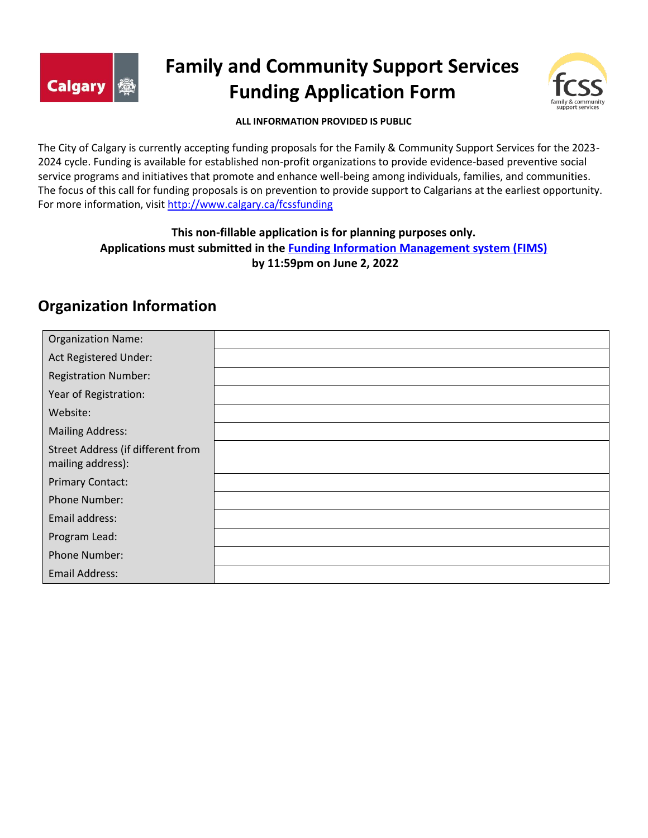

# **Family and Community Support Services Funding Application Form**



#### **ALL INFORMATION PROVIDED IS PUBLIC**

The City of Calgary is currently accepting funding proposals for the Family & Community Support Services for the 2023- 2024 cycle. Funding is available for established non-profit organizations to provide evidence-based preventive social service programs and initiatives that promote and enhance well-being among individuals, families, and communities. The focus of this call for funding proposals is on prevention to provide support to Calgarians at the earliest opportunity. For more information, visi[t http://www.calgary.ca/fcssfunding](http://www.calgary.ca/fcssfunding)

## **This non-fillable application is for planning purposes only. Applications must submitted in the [Funding Information Management system \(FIMS\)](http://fims.calgary.ca/) by 11:59pm on June 2, 2022**

# **Organization Information**

| <b>Organization Name:</b>                              |  |
|--------------------------------------------------------|--|
| Act Registered Under:                                  |  |
| <b>Registration Number:</b>                            |  |
| Year of Registration:                                  |  |
| Website:                                               |  |
| <b>Mailing Address:</b>                                |  |
| Street Address (if different from<br>mailing address): |  |
| <b>Primary Contact:</b>                                |  |
| <b>Phone Number:</b>                                   |  |
| Email address:                                         |  |
| Program Lead:                                          |  |
| Phone Number:                                          |  |
| Email Address:                                         |  |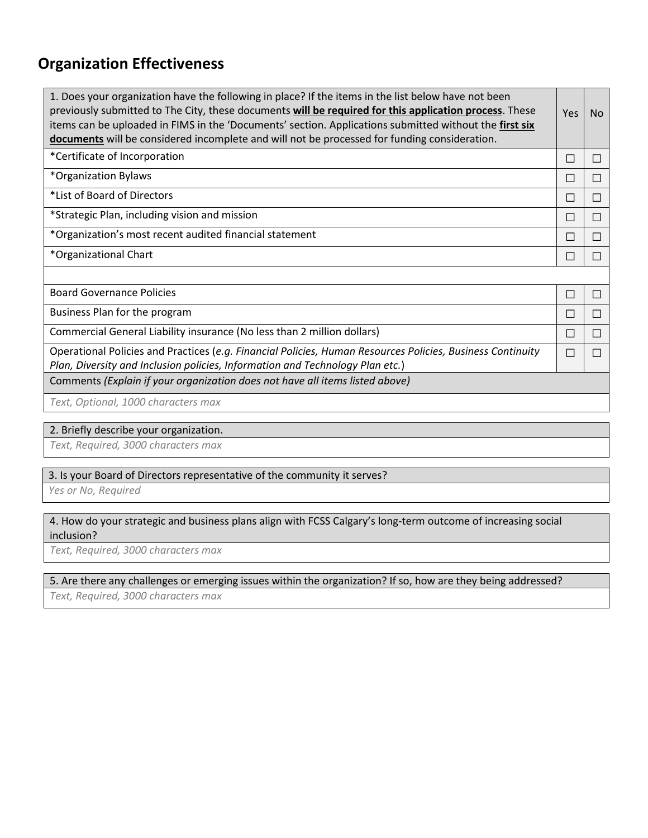# **Organization Effectiveness**

| 1. Does your organization have the following in place? If the items in the list below have not been<br>previously submitted to The City, these documents will be required for this application process. These<br>items can be uploaded in FIMS in the 'Documents' section. Applications submitted without the first six<br>documents will be considered incomplete and will not be processed for funding consideration. | <b>Yes</b>   | No.    |
|-------------------------------------------------------------------------------------------------------------------------------------------------------------------------------------------------------------------------------------------------------------------------------------------------------------------------------------------------------------------------------------------------------------------------|--------------|--------|
| *Certificate of Incorporation                                                                                                                                                                                                                                                                                                                                                                                           | $\Box$       |        |
| *Organization Bylaws                                                                                                                                                                                                                                                                                                                                                                                                    | П            |        |
| *List of Board of Directors                                                                                                                                                                                                                                                                                                                                                                                             | $\Box$       |        |
| *Strategic Plan, including vision and mission                                                                                                                                                                                                                                                                                                                                                                           | П            |        |
| *Organization's most recent audited financial statement                                                                                                                                                                                                                                                                                                                                                                 | $\mathsf{L}$ |        |
| *Organizational Chart                                                                                                                                                                                                                                                                                                                                                                                                   | П            |        |
|                                                                                                                                                                                                                                                                                                                                                                                                                         |              |        |
| <b>Board Governance Policies</b>                                                                                                                                                                                                                                                                                                                                                                                        | П            |        |
| Business Plan for the program                                                                                                                                                                                                                                                                                                                                                                                           | П            | $\Box$ |
| Commercial General Liability insurance (No less than 2 million dollars)                                                                                                                                                                                                                                                                                                                                                 | Ш            |        |
| Operational Policies and Practices (e.g. Financial Policies, Human Resources Policies, Business Continuity<br>Plan, Diversity and Inclusion policies, Information and Technology Plan etc.)                                                                                                                                                                                                                             | П            |        |
| Comments (Explain if your organization does not have all items listed above)                                                                                                                                                                                                                                                                                                                                            |              |        |
| Toyt Optional 1000 charactors may                                                                                                                                                                                                                                                                                                                                                                                       |              |        |

*Text, Optional, 1000 characters max*

## 2. Briefly describe your organization.

*Text, Required, 3000 characters max*

#### 3. Is your Board of Directors representative of the community it serves?

*Yes or No, Required*

### 4. How do your strategic and business plans align with FCSS Calgary's long-term outcome of increasing social inclusion?

*Text, Required, 3000 characters max*

### 5. Are there any challenges or emerging issues within the organization? If so, how are they being addressed?

*Text, Required, 3000 characters max*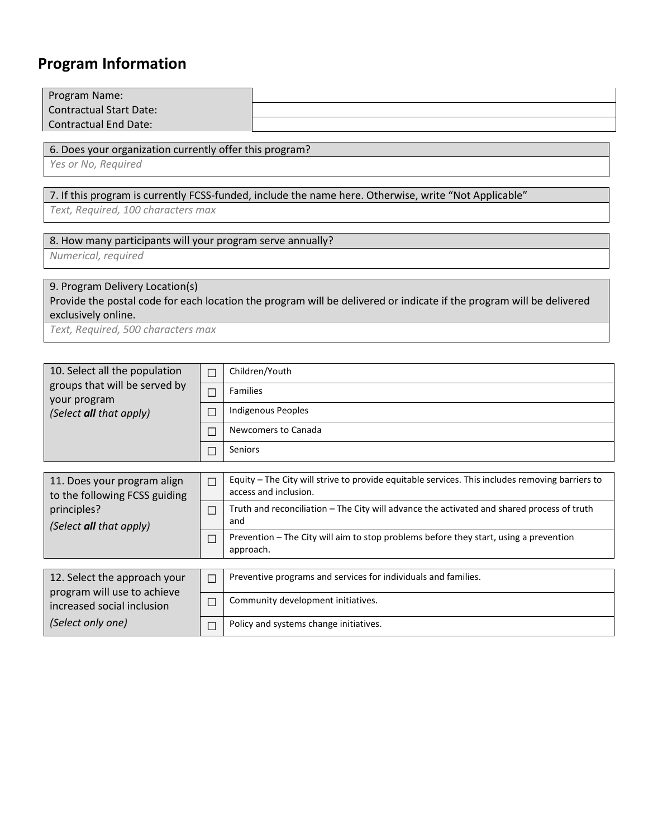# **Program Information**

| Program Name:<br><b>Contractual Start Date:</b><br><b>Contractual End Date:</b>                                                             |        |                                                                                                                          |  |  |  |  |  |  |  |
|---------------------------------------------------------------------------------------------------------------------------------------------|--------|--------------------------------------------------------------------------------------------------------------------------|--|--|--|--|--|--|--|
| 6. Does your organization currently offer this program?<br>Yes or No, Required                                                              |        |                                                                                                                          |  |  |  |  |  |  |  |
| 7. If this program is currently FCSS-funded, include the name here. Otherwise, write "Not Applicable"<br>Text, Required, 100 characters max |        |                                                                                                                          |  |  |  |  |  |  |  |
| 8. How many participants will your program serve annually?<br>Numerical, required                                                           |        |                                                                                                                          |  |  |  |  |  |  |  |
| 9. Program Delivery Location(s)<br>exclusively online.                                                                                      |        | Provide the postal code for each location the program will be delivered or indicate if the program will be delivered     |  |  |  |  |  |  |  |
| Text, Required, 500 characters max                                                                                                          |        |                                                                                                                          |  |  |  |  |  |  |  |
|                                                                                                                                             |        |                                                                                                                          |  |  |  |  |  |  |  |
| 10. Select all the population                                                                                                               | $\Box$ | Children/Youth                                                                                                           |  |  |  |  |  |  |  |
| groups that will be served by<br>your program                                                                                               | П      | <b>Families</b>                                                                                                          |  |  |  |  |  |  |  |
| (Select all that apply)                                                                                                                     | П      | <b>Indigenous Peoples</b>                                                                                                |  |  |  |  |  |  |  |
|                                                                                                                                             | Ο      | Newcomers to Canada                                                                                                      |  |  |  |  |  |  |  |
|                                                                                                                                             | П      | <b>Seniors</b>                                                                                                           |  |  |  |  |  |  |  |
|                                                                                                                                             |        |                                                                                                                          |  |  |  |  |  |  |  |
| 11. Does your program align<br>to the following FCSS guiding                                                                                |        | Equity - The City will strive to provide equitable services. This includes removing barriers to<br>access and inclusion. |  |  |  |  |  |  |  |
| principles?<br>(Select all that apply)                                                                                                      | П      | Truth and reconciliation - The City will advance the activated and shared process of truth<br>and                        |  |  |  |  |  |  |  |
|                                                                                                                                             | П      | Prevention - The City will aim to stop problems before they start, using a prevention<br>approach.                       |  |  |  |  |  |  |  |
| 12. Select the approach your                                                                                                                | $\Box$ | Preventive programs and services for individuals and families.                                                           |  |  |  |  |  |  |  |
| program will use to achieve                                                                                                                 |        |                                                                                                                          |  |  |  |  |  |  |  |
| increased social inclusion                                                                                                                  | П      | Community development initiatives.                                                                                       |  |  |  |  |  |  |  |
| (Select only one)                                                                                                                           | □      | Policy and systems change initiatives.                                                                                   |  |  |  |  |  |  |  |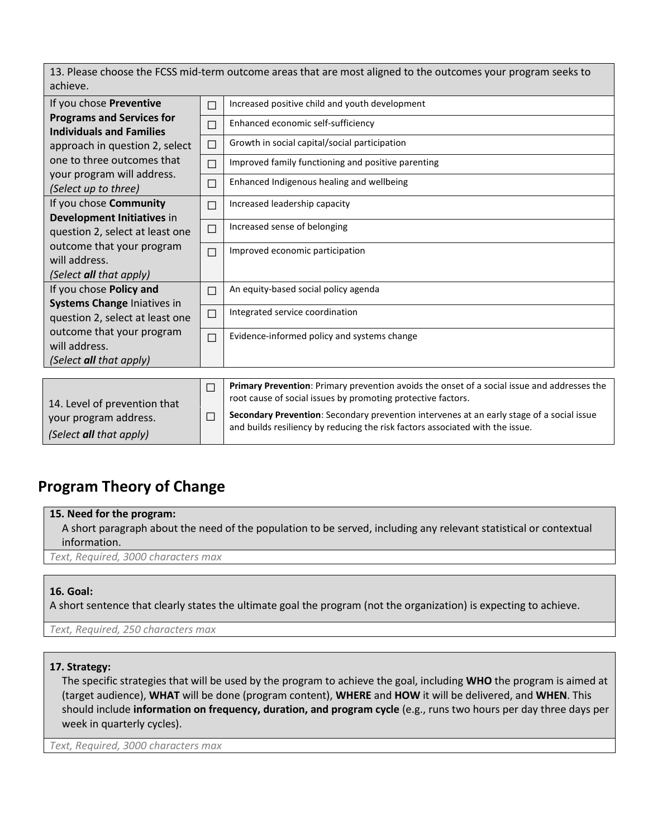13. Please choose the FCSS mid-term outcome areas that are most aligned to the outcomes your program seeks to achieve.

| If you chose Preventive          | П      | Increased positive child and youth development                                              |
|----------------------------------|--------|---------------------------------------------------------------------------------------------|
| <b>Programs and Services for</b> | П      | Enhanced economic self-sufficiency                                                          |
| <b>Individuals and Families</b>  |        |                                                                                             |
| approach in question 2, select   | $\Box$ | Growth in social capital/social participation                                               |
| one to three outcomes that       | $\Box$ | Improved family functioning and positive parenting                                          |
| your program will address.       | $\Box$ | Enhanced Indigenous healing and wellbeing                                                   |
| (Select up to three)             |        |                                                                                             |
| If you chose Community           | П      | Increased leadership capacity                                                               |
| Development Initiatives in       |        |                                                                                             |
| question 2, select at least one  | □      | Increased sense of belonging                                                                |
| outcome that your program        | $\Box$ | Improved economic participation                                                             |
| will address.                    |        |                                                                                             |
| (Select all that apply)          |        |                                                                                             |
| If you chose Policy and          | П      | An equity-based social policy agenda                                                        |
| Systems Change Iniatives in      |        |                                                                                             |
| question 2, select at least one  | $\Box$ | Integrated service coordination                                                             |
| outcome that your program        | $\Box$ | Evidence-informed policy and systems change                                                 |
| will address.                    |        |                                                                                             |
| (Select all that apply)          |        |                                                                                             |
|                                  |        |                                                                                             |
|                                  | П      | Primary Prevention: Primary prevention avoids the onset of a social issue and addresses the |
| 14. Level of prevention that     |        | root cause of social issues by promoting protective factors.                                |
| your program address.            | □      | Secondary Prevention: Secondary prevention intervenes at an early stage of a social issue   |

## *(Select all that apply)* and builds resiliency by reducing the risk factors associated with the issue.

# **Program Theory of Change**

#### **15. Need for the program:**

A short paragraph about the need of the population to be served, including any relevant statistical or contextual information.

*Text, Required, 3000 characters max*

## **16. Goal:**

A short sentence that clearly states the ultimate goal the program (not the organization) is expecting to achieve.

*Text, Required, 250 characters max*

#### **17. Strategy:**

The specific strategies that will be used by the program to achieve the goal, including **WHO** the program is aimed at (target audience), **WHAT** will be done (program content), **WHERE** and **HOW** it will be delivered, and **WHEN**. This should include **information on frequency, duration, and program cycle** (e.g., runs two hours per day three days per week in quarterly cycles).

*Text, Required, 3000 characters max*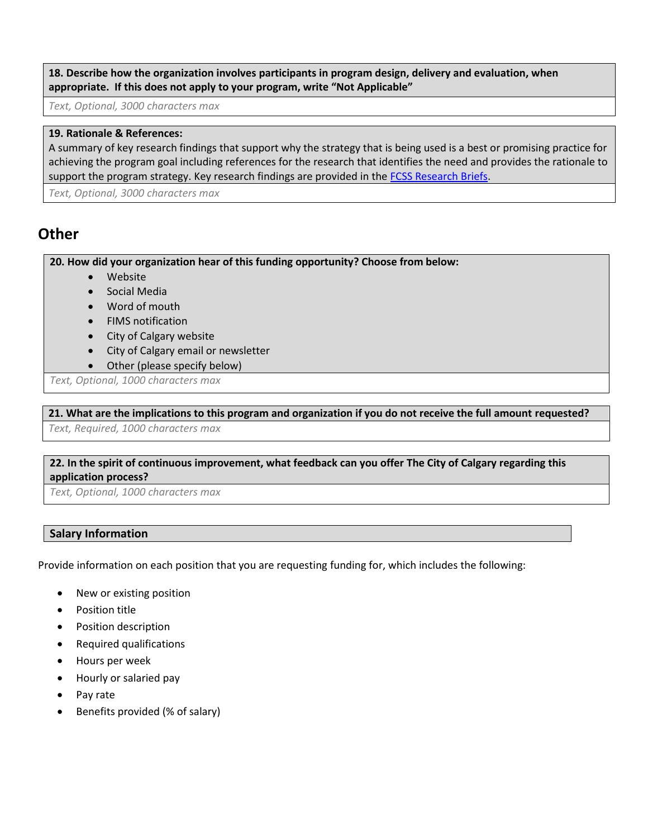**18. Describe how the organization involves participants in program design, delivery and evaluation, when appropriate. If this does not apply to your program, write "Not Applicable"**

*Text, Optional, 3000 characters max*

#### **19. Rationale & References:**

A summary of key research findings that support why the strategy that is being used is a best or promising practice for achieving the program goal including references for the research that identifies the need and provides the rationale to support the program strategy. Key research findings are provided in th[e FCSS Research Briefs.](https://www.calgary.ca/csps/cns/fcss/fcss-research-briefs.html)

*Text, Optional, 3000 characters max*

# **Other**

**20. How did your organization hear of this funding opportunity? Choose from below:** 

- Website
- Social Media
- Word of mouth
- FIMS notification
- City of Calgary website
- City of Calgary email or newsletter
- Other (please specify below)

*Text, Optional, 1000 characters max*

**21. What are the implications to this program and organization if you do not receive the full amount requested?** *Text, Required, 1000 characters max*

## **22. In the spirit of continuous improvement, what feedback can you offer The City of Calgary regarding this application process?**

*Text, Optional, 1000 characters max*

## **Salary Information**

Provide information on each position that you are requesting funding for, which includes the following:

- New or existing position
- Position title
- Position description
- Required qualifications
- Hours per week
- Hourly or salaried pay
- Pay rate
- Benefits provided (% of salary)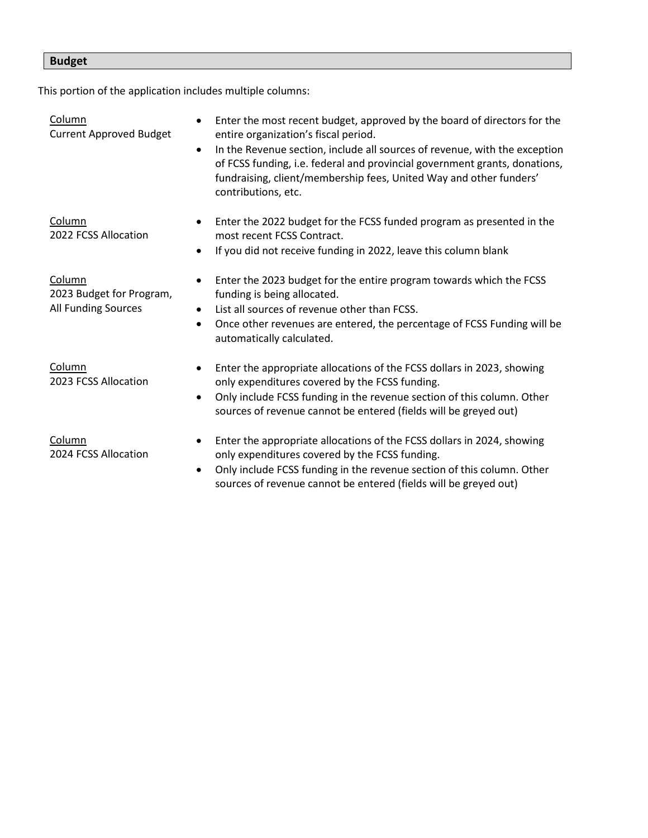# **Budget**

This portion of the application includes multiple columns:

| Column<br><b>Current Approved Budget</b>                  | Enter the most recent budget, approved by the board of directors for the<br>entire organization's fiscal period.<br>In the Revenue section, include all sources of revenue, with the exception<br>$\bullet$<br>of FCSS funding, i.e. federal and provincial government grants, donations,<br>fundraising, client/membership fees, United Way and other funders'<br>contributions, etc. |
|-----------------------------------------------------------|----------------------------------------------------------------------------------------------------------------------------------------------------------------------------------------------------------------------------------------------------------------------------------------------------------------------------------------------------------------------------------------|
| Column<br>2022 FCSS Allocation                            | Enter the 2022 budget for the FCSS funded program as presented in the<br>most recent FCSS Contract.<br>If you did not receive funding in 2022, leave this column blank                                                                                                                                                                                                                 |
| Column<br>2023 Budget for Program,<br>All Funding Sources | Enter the 2023 budget for the entire program towards which the FCSS<br>funding is being allocated.<br>List all sources of revenue other than FCSS.<br>$\bullet$<br>Once other revenues are entered, the percentage of FCSS Funding will be<br>automatically calculated.                                                                                                                |
| Column<br>2023 FCSS Allocation                            | Enter the appropriate allocations of the FCSS dollars in 2023, showing<br>only expenditures covered by the FCSS funding.<br>Only include FCSS funding in the revenue section of this column. Other<br>$\bullet$<br>sources of revenue cannot be entered (fields will be greyed out)                                                                                                    |
| Column<br>2024 FCSS Allocation                            | Enter the appropriate allocations of the FCSS dollars in 2024, showing<br>only expenditures covered by the FCSS funding.<br>Only include FCSS funding in the revenue section of this column. Other<br>sources of revenue cannot be entered (fields will be greyed out)                                                                                                                 |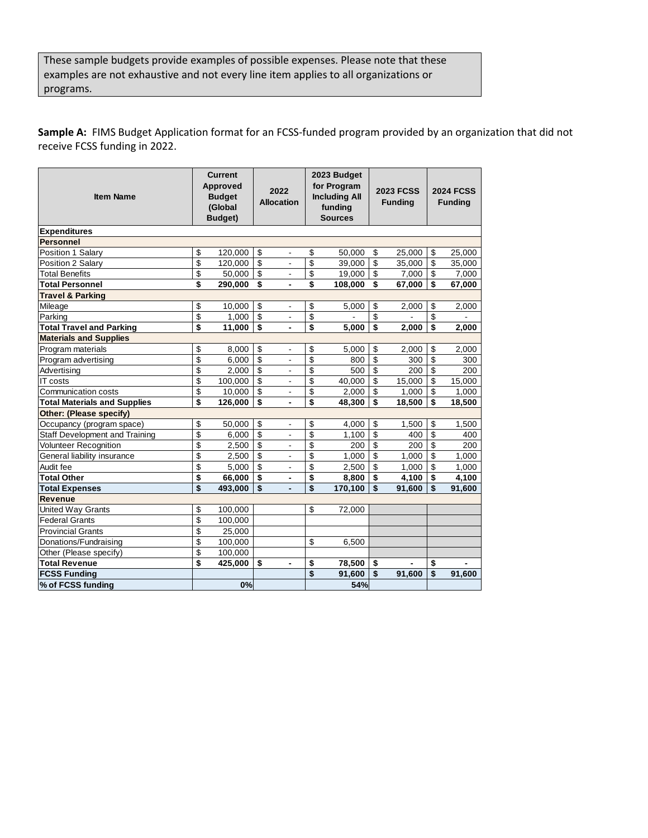These sample budgets provide examples of possible expenses. Please note that these examples are not exhaustive and not every line item applies to all organizations or programs.

**Sample A:** FIMS Budget Application format for an FCSS-funded program provided by an organization that did not receive FCSS funding in 2022.

| <b>Item Name</b>                    | <b>Current</b><br><b>Approved</b><br><b>Budget</b><br>(Global<br>Budget) |         |                         | 2022<br><b>Allocation</b> |                          | 2023 Budget<br>for Program<br><b>Including All</b><br>funding<br><b>Sources</b> |    | <b>2023 FCSS</b><br><b>Funding</b> |    | <b>2024 FCSS</b><br><b>Funding</b> |  |
|-------------------------------------|--------------------------------------------------------------------------|---------|-------------------------|---------------------------|--------------------------|---------------------------------------------------------------------------------|----|------------------------------------|----|------------------------------------|--|
| <b>Expenditures</b>                 |                                                                          |         |                         |                           |                          |                                                                                 |    |                                    |    |                                    |  |
| <b>Personnel</b>                    |                                                                          |         |                         |                           |                          |                                                                                 |    |                                    |    |                                    |  |
| Position 1 Salary                   | \$                                                                       | 120,000 | \$                      | $\overline{\phantom{a}}$  | \$                       | 50.000                                                                          | \$ | 25.000                             | \$ | 25.000                             |  |
| Position 2 Salary                   | \$                                                                       | 120,000 | \$                      | $\overline{a}$            | \$                       | 39,000                                                                          | \$ | 35,000                             | \$ | 35,000                             |  |
| <b>Total Benefits</b>               | \$                                                                       | 50,000  | $\overline{\mathbf{S}}$ | $\overline{a}$            | \$                       | 19,000                                                                          | \$ | 7,000                              | \$ | 7,000                              |  |
| <b>Total Personnel</b>              | \$                                                                       | 290,000 | \$                      |                           | \$                       | 108,000                                                                         | \$ | 67,000                             | \$ | 67,000                             |  |
| <b>Travel &amp; Parking</b>         |                                                                          |         |                         |                           |                          |                                                                                 |    |                                    |    |                                    |  |
| Mileage                             | \$                                                                       | 10,000  | \$                      | $\blacksquare$            | \$                       | 5,000                                                                           | \$ | 2,000                              | \$ | 2,000                              |  |
| Parking                             | \$                                                                       | 1,000   | \$                      | $\blacksquare$            | $\overline{\mathbf{S}}$  |                                                                                 | \$ |                                    | \$ |                                    |  |
| <b>Total Travel and Parking</b>     | \$                                                                       | 11,000  | \$                      | $\blacksquare$            | \$                       | 5,000                                                                           | \$ | 2,000                              | \$ | 2,000                              |  |
| <b>Materials and Supplies</b>       |                                                                          |         |                         |                           |                          |                                                                                 |    |                                    |    |                                    |  |
| Program materials                   | \$                                                                       | 8,000   | \$                      | $\blacksquare$            | \$                       | 5.000                                                                           | \$ | 2.000                              | \$ | 2.000                              |  |
| Program advertising                 | \$                                                                       | 6,000   | \$                      | $\overline{a}$            | \$                       | 800                                                                             | \$ | 300                                | \$ | 300                                |  |
| Advertising                         | \$                                                                       | 2,000   | \$                      | $\overline{a}$            | $\overline{\$}$          | 500                                                                             | \$ | 200                                | \$ | 200                                |  |
| IT costs                            | \$                                                                       | 100,000 | \$                      | $\overline{a}$            | $\overline{\mathcal{S}}$ | 40,000                                                                          | \$ | 15,000                             | \$ | 15,000                             |  |
| Communication costs                 | \$                                                                       | 10,000  | \$                      | $\overline{a}$            | \$                       | 2,000                                                                           | \$ | 1,000                              | \$ | 1,000                              |  |
| <b>Total Materials and Supplies</b> | \$                                                                       | 126,000 | \$                      | $\blacksquare$            | \$                       | 48,300                                                                          | \$ | 18,500                             | \$ | 18,500                             |  |
| <b>Other: (Please specify)</b>      |                                                                          |         |                         |                           |                          |                                                                                 |    |                                    |    |                                    |  |
| Occupancy (program space)           | \$                                                                       | 50,000  | \$                      | $\blacksquare$            | \$                       | 4,000                                                                           | \$ | 1,500                              | \$ | 1,500                              |  |
| Staff Development and Training      | \$                                                                       | 6,000   | \$                      | -                         | $$\mathfrak{s}$$         | 1.100                                                                           | \$ | 400                                | \$ | 400                                |  |
| <b>Volunteer Recognition</b>        | \$                                                                       | 2,500   | \$                      | ä,                        | \$                       | 200                                                                             | \$ | 200                                | \$ | 200                                |  |
| General liability insurance         | \$                                                                       | 2,500   | \$                      | ä,                        | $\overline{\$}$          | 1,000                                                                           | \$ | 1,000                              | \$ | 1,000                              |  |
| Audit fee                           | \$                                                                       | 5,000   | \$                      | $\overline{\phantom{a}}$  | $\overline{\mathcal{S}}$ | 2,500                                                                           | \$ | 1,000                              | \$ | 1,000                              |  |
| <b>Total Other</b>                  | \$                                                                       | 66,000  | \$                      | $\blacksquare$            | \$                       | 8,800                                                                           | \$ | 4,100                              | \$ | 4,100                              |  |
| <b>Total Expenses</b>               | \$                                                                       | 493,000 | \$                      |                           | \$                       | 170,100                                                                         | \$ | 91,600                             | \$ | 91,600                             |  |
| <b>Revenue</b>                      |                                                                          |         |                         |                           |                          |                                                                                 |    |                                    |    |                                    |  |
| United Way Grants                   | \$                                                                       | 100,000 |                         |                           | \$                       | 72,000                                                                          |    |                                    |    |                                    |  |
| <b>Federal Grants</b>               | \$                                                                       | 100,000 |                         |                           |                          |                                                                                 |    |                                    |    |                                    |  |
| <b>Provincial Grants</b>            | \$                                                                       | 25,000  |                         |                           |                          |                                                                                 |    |                                    |    |                                    |  |
| Donations/Fundraising               | \$                                                                       | 100,000 |                         |                           | \$                       | 6,500                                                                           |    |                                    |    |                                    |  |
| Other (Please specify)              | \$                                                                       | 100,000 |                         |                           |                          |                                                                                 |    |                                    |    |                                    |  |
| <b>Total Revenue</b>                | \$                                                                       | 425,000 | \$                      | $\blacksquare$            | \$                       | 78,500                                                                          | \$ |                                    | \$ |                                    |  |
| <b>FCSS Funding</b>                 |                                                                          |         |                         |                           | \$                       | 91,600                                                                          | \$ | 91,600                             | \$ | 91,600                             |  |
| % of FCSS funding                   |                                                                          | 0%      |                         |                           |                          | 54%                                                                             |    |                                    |    |                                    |  |